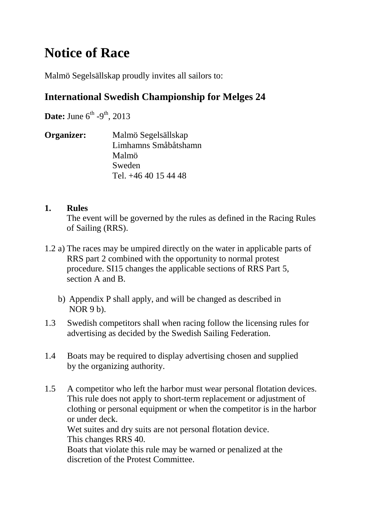# **Notice of Race**

Malmö Segelsällskap proudly invites all sailors to:

# **International Swedish Championship for Melges 24**

**Date:** June  $6^{th}$  -9<sup>th</sup>, 2013

**Organizer:** Malmö Segelsällskap Limhamns Småbåtshamn Malmö Sweden Tel. +46 40 15 44 48

## **1. Rules**

The event will be governed by the rules as defined in the Racing Rules of Sailing (RRS).

- 1.2 a) The races may be umpired directly on the water in applicable parts of RRS part 2 combined with the opportunity to normal protest procedure. SI15 changes the applicable sections of RRS Part 5, section A and B.
	- b) Appendix P shall apply, and will be changed as described in  $NOR 9 b$ ).
- 1.3 Swedish competitors shall when racing follow the licensing rules for advertising as decided by the Swedish Sailing Federation.
- 1.4 Boats may be required to display advertising chosen and supplied by the organizing authority.
- 1.5 A competitor who left the harbor must wear personal flotation devices. This rule does not apply to short-term replacement or adjustment of clothing or personal equipment or when the competitor is in the harbor or under deck. Wet suites and dry suits are not personal flotation device. This changes RRS 40. Boats that violate this rule may be warned or penalized at the

discretion of the Protest Committee.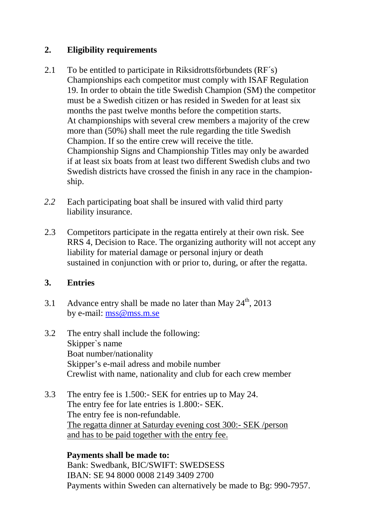## **2. Eligibility requirements**

- 2.1 To be entitled to participate in Riksidrottsförbundets (RF´s) Championships each competitor must comply with ISAF Regulation 19. In order to obtain the title Swedish Champion (SM) the competitor must be a Swedish citizen or has resided in Sweden for at least six months the past twelve months before the competition starts. At championships with several crew members a majority of the crew more than (50%) shall meet the rule regarding the title Swedish Champion. If so the entire crew will receive the title. Championship Signs and Championship Titles may only be awarded if at least six boats from at least two different Swedish clubs and two Swedish districts have crossed the finish in any race in the championship.
- *2.2* Each participating boat shall be insured with valid third party liability insurance.
- 2.3 Competitors participate in the regatta entirely at their own risk. See RRS 4, Decision to Race. The organizing authority will not accept any liability for material damage or personal injury or death sustained in conjunction with or prior to, during, or after the regatta.

## **3. Entries**

- 3.1 Advance entry shall be made no later than May  $24^{\text{th}}$ , 2013 by e-mail: mss@mss.m.se
- 3.2 The entry shall include the following: Skipper`s name Boat number/nationality Skipper's e-mail adress and mobile number Crewlist with name, nationality and club for each crew member
- 3.3 The entry fee is 1.500:- SEK for entries up to May 24. The entry fee for late entries is 1.800:- SEK. The entry fee is non-refundable. The regatta dinner at Saturday evening cost 300:- SEK /person and has to be paid together with the entry fee.

#### **Payments shall be made to:**  Bank: Swedbank, BIC/SWIFT: SWEDSESS IBAN: SE 94 8000 0008 2149 3409 2700 Payments within Sweden can alternatively be made to Bg: 990-7957.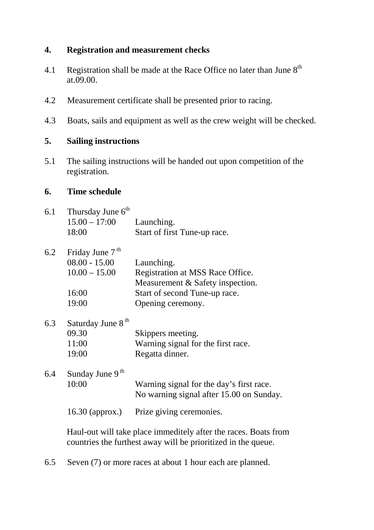## **4. Registration and measurement checks**

- 4.1 Registration shall be made at the Race Office no later than June  $8<sup>th</sup>$ at.09.00.
- 4.2 Measurement certificate shall be presented prior to racing.
- 4.3 Boats, sails and equipment as well as the crew weight will be checked.

## **5. Sailing instructions**

5.1 The sailing instructions will be handed out upon competition of the registration.

## **6. Time schedule**

| 6.1 Thursday June $6^{th}$<br>$15.00 - 17.00$ Launching.<br>18:00 | Start of first Tune-up race. |
|-------------------------------------------------------------------|------------------------------|
| $62$ Friday June $7th$                                            |                              |

| $J \cdot \mathcal{L}$ | Thuay Julie /   |                                  |
|-----------------------|-----------------|----------------------------------|
|                       | $08.00 - 15.00$ | Launching.                       |
|                       | $10.00 - 15.00$ | Registration at MSS Race Office. |
|                       |                 | Measurement & Safety inspection. |
|                       | 16:00           | Start of second Tune-up race.    |
|                       | 19:00           | Opening ceremony.                |

| 6.3 | Saturday June 8 <sup>th</sup> |                                    |
|-----|-------------------------------|------------------------------------|
|     | 09.30                         | Skippers meeting.                  |
|     | 11:00                         | Warning signal for the first race. |
|     | 19:00                         | Regatta dinner.                    |

6.4 Sunday June 9<sup>th</sup> 10:00 Warning signal for the day's first race. No warning signal after 15.00 on Sunday.

16.30 (approx.) Prize giving ceremonies.

Haul-out will take place immeditely after the races. Boats from countries the furthest away will be prioritized in the queue.

6.5 Seven (7) or more races at about 1 hour each are planned.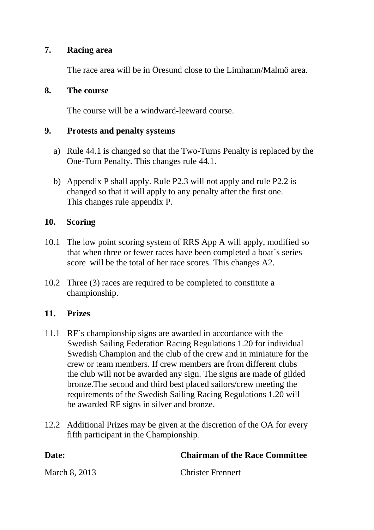#### **7. Racing area**

The race area will be in Öresund close to the Limhamn/Malmö area.

#### **8. The course**

The course will be a windward-leeward course.

#### **9. Protests and penalty systems**

- a) Rule 44.1 is changed so that the Two-Turns Penalty is replaced by the One-Turn Penalty. This changes rule 44.1.
- b) Appendix P shall apply. Rule P2.3 will not apply and rule P2.2 is changed so that it will apply to any penalty after the first one. This changes rule appendix P.

#### **10. Scoring**

- 10.1 The low point scoring system of RRS App A will apply, modified so that when three or fewer races have been completed a boat´s series score will be the total of her race scores. This changes A2.
- 10.2 Three (3) races are required to be completed to constitute a championship.

#### **11. Prizes**

- 11.1 RF`s championship signs are awarded in accordance with the Swedish Sailing Federation Racing Regulations 1.20 for individual Swedish Champion and the club of the crew and in miniature for the crew or team members. If crew members are from different clubs the club will not be awarded any sign. The signs are made of gilded bronze.The second and third best placed sailors/crew meeting the requirements of the Swedish Sailing Racing Regulations 1.20 will be awarded RF signs in silver and bronze.
- 12.2 Additional Prizes may be given at the discretion of the OA for every fifth participant in the Championship.

| Date:         | <b>Chairman of the Race Committee</b> |
|---------------|---------------------------------------|
| March 8, 2013 | <b>Christer Frennert</b>              |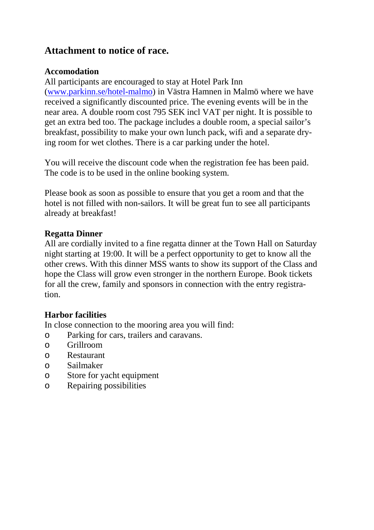## **Attachment to notice of race.**

## **Accomodation**

All participants are encouraged to stay at Hotel Park Inn (www.parkinn.se/hotel-malmo) in Västra Hamnen in Malmö where we have received a significantly discounted price. The evening events will be in the near area. A double room cost 795 SEK incl VAT per night. It is possible to get an extra bed too. The package includes a double room, a special sailor's breakfast, possibility to make your own lunch pack, wifi and a separate drying room for wet clothes. There is a car parking under the hotel.

You will receive the discount code when the registration fee has been paid. The code is to be used in the online booking system.

Please book as soon as possible to ensure that you get a room and that the hotel is not filled with non-sailors. It will be great fun to see all participants already at breakfast!

## **Regatta Dinner**

All are cordially invited to a fine regatta dinner at the Town Hall on Saturday night starting at 19:00. It will be a perfect opportunity to get to know all the other crews. With this dinner MSS wants to show its support of the Class and hope the Class will grow even stronger in the northern Europe. Book tickets for all the crew, family and sponsors in connection with the entry registration.

## **Harbor facilities**

In close connection to the mooring area you will find:

- o Parking for cars, trailers and caravans.
- o Grillroom
- o Restaurant
- o Sailmaker
- o Store for yacht equipment
- o Repairing possibilities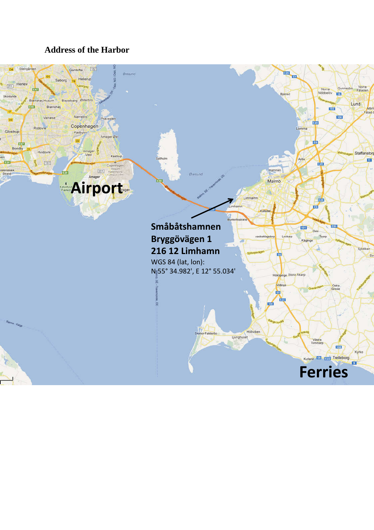### **Address of the Harbor**